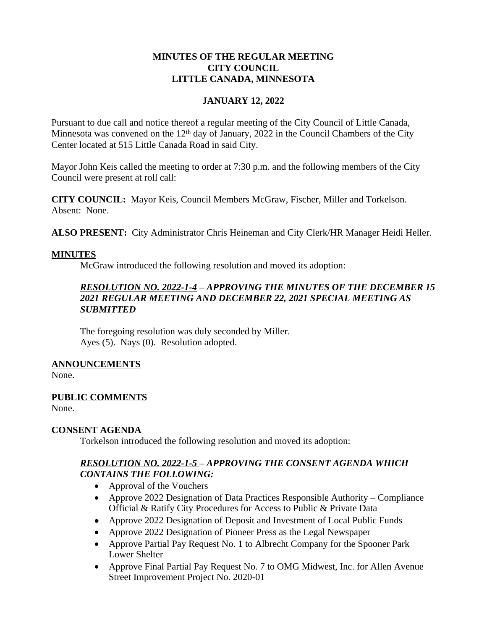### **MINUTES OF THE REGULAR MEETING CITY COUNCIL LITTLE CANADA, MINNESOTA**

## **JANUARY 12, 2022**

Pursuant to due call and notice thereof a regular meeting of the City Council of Little Canada, Minnesota was convened on the  $12<sup>th</sup>$  day of January, 2022 in the Council Chambers of the City Center located at 515 Little Canada Road in said City.

Mayor John Keis called the meeting to order at 7:30 p.m. and the following members of the City Council were present at roll call:

**CITY COUNCIL:** Mayor Keis, Council Members McGraw, Fischer, Miller and Torkelson. Absent: None.

**ALSO PRESENT:** City Administrator Chris Heineman and City Clerk/HR Manager Heidi Heller.

#### **MINUTES**

McGraw introduced the following resolution and moved its adoption:

## *RESOLUTION NO. 2022-1-4 – APPROVING THE MINUTES OF THE DECEMBER 15 2021 REGULAR MEETING AND DECEMBER 22, 2021 SPECIAL MEETING AS SUBMITTED*

The foregoing resolution was duly seconded by Miller. Ayes (5). Nays (0). Resolution adopted.

#### **ANNOUNCEMENTS**

None.

#### **PUBLIC COMMENTS**

None.

#### **CONSENT AGENDA**

Torkelson introduced the following resolution and moved its adoption:

## *RESOLUTION NO. 2022-1-5 – APPROVING THE CONSENT AGENDA WHICH CONTAINS THE FOLLOWING:*

- Approval of the Vouchers
- Approve 2022 Designation of Data Practices Responsible Authority Compliance Official & Ratify City Procedures for Access to Public & Private Data
- Approve 2022 Designation of Deposit and Investment of Local Public Funds
- Approve 2022 Designation of Pioneer Press as the Legal Newspaper
- Approve Partial Pay Request No. 1 to Albrecht Company for the Spooner Park Lower Shelter
- Approve Final Partial Pay Request No. 7 to OMG Midwest, Inc. for Allen Avenue Street Improvement Project No. 2020-01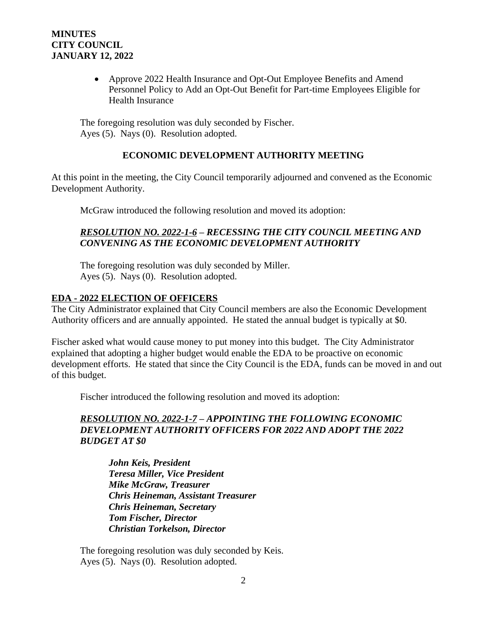## **MINUTES CITY COUNCIL JANUARY 12, 2022**

 Approve 2022 Health Insurance and Opt-Out Employee Benefits and Amend Personnel Policy to Add an Opt-Out Benefit for Part-time Employees Eligible for Health Insurance

The foregoing resolution was duly seconded by Fischer. Ayes (5). Nays (0). Resolution adopted.

### **ECONOMIC DEVELOPMENT AUTHORITY MEETING**

At this point in the meeting, the City Council temporarily adjourned and convened as the Economic Development Authority.

McGraw introduced the following resolution and moved its adoption:

## *RESOLUTION NO. 2022-1-6 – RECESSING THE CITY COUNCIL MEETING AND CONVENING AS THE ECONOMIC DEVELOPMENT AUTHORITY*

The foregoing resolution was duly seconded by Miller. Ayes (5). Nays (0). Resolution adopted.

## **EDA - 2022 ELECTION OF OFFICERS**

The City Administrator explained that City Council members are also the Economic Development Authority officers and are annually appointed. He stated the annual budget is typically at \$0.

Fischer asked what would cause money to put money into this budget. The City Administrator explained that adopting a higher budget would enable the EDA to be proactive on economic development efforts. He stated that since the City Council is the EDA, funds can be moved in and out of this budget.

Fischer introduced the following resolution and moved its adoption:

## *RESOLUTION NO. 2022-1-7 – APPOINTING THE FOLLOWING ECONOMIC DEVELOPMENT AUTHORITY OFFICERS FOR 2022 AND ADOPT THE 2022 BUDGET AT \$0*

*John Keis, President Teresa Miller, Vice President Mike McGraw, Treasurer Chris Heineman, Assistant Treasurer Chris Heineman, Secretary Tom Fischer, Director Christian Torkelson, Director*

The foregoing resolution was duly seconded by Keis. Ayes (5). Nays (0). Resolution adopted.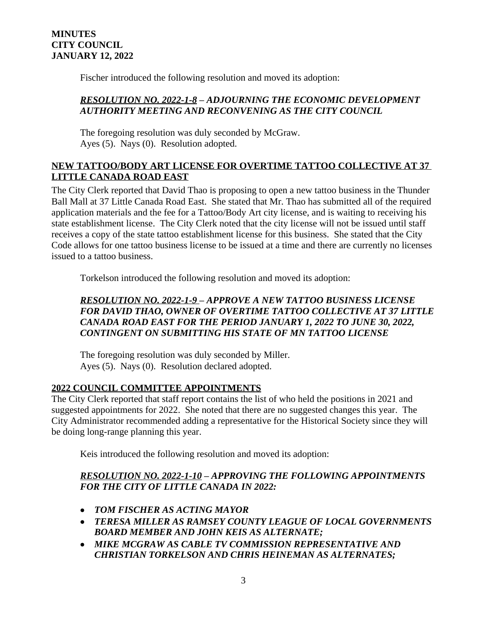Fischer introduced the following resolution and moved its adoption:

## *RESOLUTION NO. 2022-1-8 – ADJOURNING THE ECONOMIC DEVELOPMENT AUTHORITY MEETING AND RECONVENING AS THE CITY COUNCIL*

The foregoing resolution was duly seconded by McGraw. Ayes (5). Nays (0). Resolution adopted.

## **NEW TATTOO/BODY ART LICENSE FOR OVERTIME TATTOO COLLECTIVE AT 37 LITTLE CANADA ROAD EAST**

The City Clerk reported that David Thao is proposing to open a new tattoo business in the Thunder Ball Mall at 37 Little Canada Road East. She stated that Mr. Thao has submitted all of the required application materials and the fee for a Tattoo/Body Art city license, and is waiting to receiving his state establishment license. The City Clerk noted that the city license will not be issued until staff receives a copy of the state tattoo establishment license for this business. She stated that the City Code allows for one tattoo business license to be issued at a time and there are currently no licenses issued to a tattoo business.

Torkelson introduced the following resolution and moved its adoption:

## *RESOLUTION NO. 2022-1-9 – APPROVE A NEW TATTOO BUSINESS LICENSE FOR DAVID THAO, OWNER OF OVERTIME TATTOO COLLECTIVE AT 37 LITTLE CANADA ROAD EAST FOR THE PERIOD JANUARY 1, 2022 TO JUNE 30, 2022, CONTINGENT ON SUBMITTING HIS STATE OF MN TATTOO LICENSE*

The foregoing resolution was duly seconded by Miller. Ayes (5). Nays (0). Resolution declared adopted.

# **2022 COUNCIL COMMITTEE APPOINTMENTS**

The City Clerk reported that staff report contains the list of who held the positions in 2021 and suggested appointments for 2022. She noted that there are no suggested changes this year. The City Administrator recommended adding a representative for the Historical Society since they will be doing long-range planning this year.

Keis introduced the following resolution and moved its adoption:

## *RESOLUTION NO. 2022-1-10 – APPROVING THE FOLLOWING APPOINTMENTS FOR THE CITY OF LITTLE CANADA IN 2022:*

- *TOM FISCHER AS ACTING MAYOR*
- *TERESA MILLER AS RAMSEY COUNTY LEAGUE OF LOCAL GOVERNMENTS BOARD MEMBER AND JOHN KEIS AS ALTERNATE;*
- *MIKE MCGRAW AS CABLE TV COMMISSION REPRESENTATIVE AND CHRISTIAN TORKELSON AND CHRIS HEINEMAN AS ALTERNATES;*